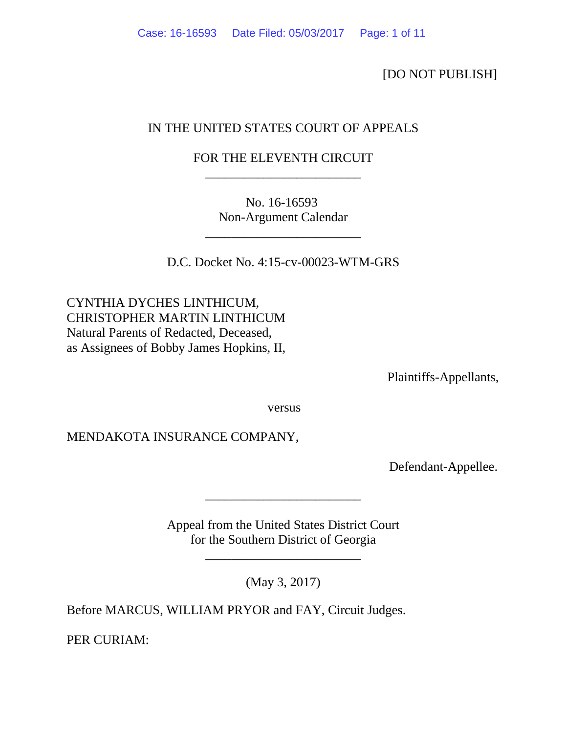[DO NOT PUBLISH]

# IN THE UNITED STATES COURT OF APPEALS

## FOR THE ELEVENTH CIRCUIT \_\_\_\_\_\_\_\_\_\_\_\_\_\_\_\_\_\_\_\_\_\_\_\_

No. 16-16593 Non-Argument Calendar

\_\_\_\_\_\_\_\_\_\_\_\_\_\_\_\_\_\_\_\_\_\_\_\_

D.C. Docket No. 4:15-cv-00023-WTM-GRS

CYNTHIA DYCHES LINTHICUM, CHRISTOPHER MARTIN LINTHICUM Natural Parents of Redacted, Deceased, as Assignees of Bobby James Hopkins, II,

Plaintiffs-Appellants,

versus

MENDAKOTA INSURANCE COMPANY,

Defendant-Appellee.

Appeal from the United States District Court for the Southern District of Georgia

\_\_\_\_\_\_\_\_\_\_\_\_\_\_\_\_\_\_\_\_\_\_\_\_

\_\_\_\_\_\_\_\_\_\_\_\_\_\_\_\_\_\_\_\_\_\_\_\_

(May 3, 2017)

Before MARCUS, WILLIAM PRYOR and FAY, Circuit Judges.

PER CURIAM: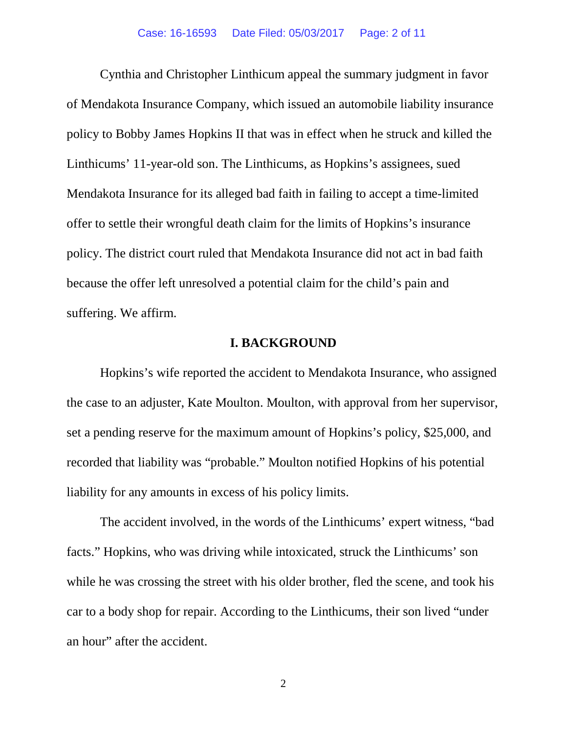Cynthia and Christopher Linthicum appeal the summary judgment in favor of Mendakota Insurance Company, which issued an automobile liability insurance policy to Bobby James Hopkins II that was in effect when he struck and killed the Linthicums' 11-year-old son. The Linthicums, as Hopkins's assignees, sued Mendakota Insurance for its alleged bad faith in failing to accept a time-limited offer to settle their wrongful death claim for the limits of Hopkins's insurance policy. The district court ruled that Mendakota Insurance did not act in bad faith because the offer left unresolved a potential claim for the child's pain and suffering. We affirm.

### **I. BACKGROUND**

Hopkins's wife reported the accident to Mendakota Insurance, who assigned the case to an adjuster, Kate Moulton. Moulton, with approval from her supervisor, set a pending reserve for the maximum amount of Hopkins's policy, \$25,000, and recorded that liability was "probable." Moulton notified Hopkins of his potential liability for any amounts in excess of his policy limits.

The accident involved, in the words of the Linthicums' expert witness, "bad facts." Hopkins, who was driving while intoxicated, struck the Linthicums' son while he was crossing the street with his older brother, fled the scene, and took his car to a body shop for repair. According to the Linthicums, their son lived "under an hour" after the accident.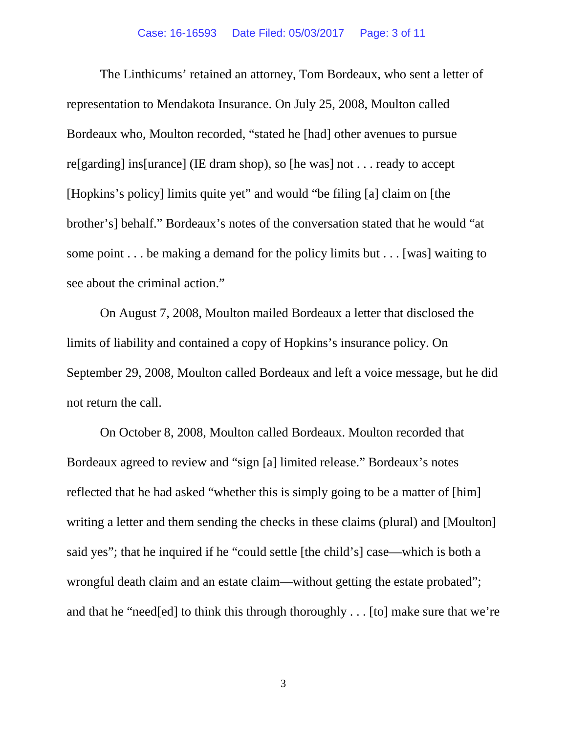The Linthicums' retained an attorney, Tom Bordeaux, who sent a letter of representation to Mendakota Insurance. On July 25, 2008, Moulton called Bordeaux who, Moulton recorded, "stated he [had] other avenues to pursue re[garding] ins[urance] (IE dram shop), so [he was] not . . . ready to accept [Hopkins's policy] limits quite yet" and would "be filing [a] claim on [the brother's] behalf." Bordeaux's notes of the conversation stated that he would "at some point . . . be making a demand for the policy limits but . . . [was] waiting to see about the criminal action."

On August 7, 2008, Moulton mailed Bordeaux a letter that disclosed the limits of liability and contained a copy of Hopkins's insurance policy. On September 29, 2008, Moulton called Bordeaux and left a voice message, but he did not return the call.

On October 8, 2008, Moulton called Bordeaux. Moulton recorded that Bordeaux agreed to review and "sign [a] limited release." Bordeaux's notes reflected that he had asked "whether this is simply going to be a matter of [him] writing a letter and them sending the checks in these claims (plural) and [Moulton] said yes"; that he inquired if he "could settle [the child's] case—which is both a wrongful death claim and an estate claim—without getting the estate probated"; and that he "need[ed] to think this through thoroughly . . . [to] make sure that we're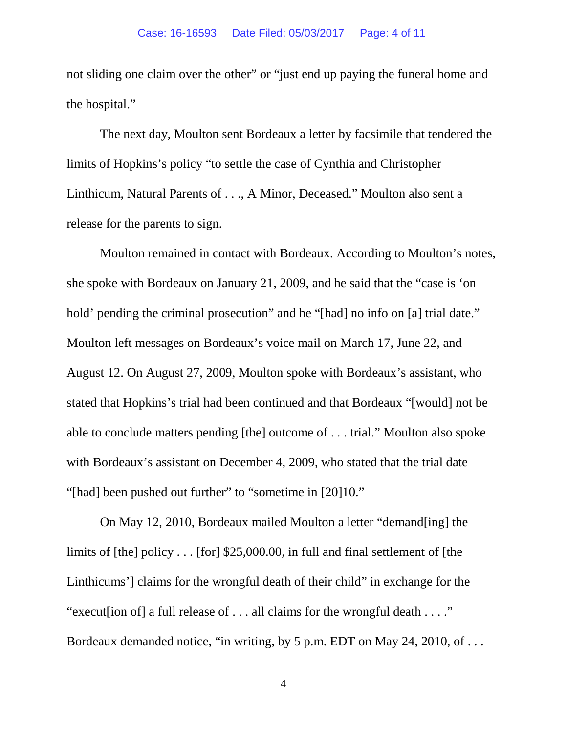not sliding one claim over the other" or "just end up paying the funeral home and the hospital."

The next day, Moulton sent Bordeaux a letter by facsimile that tendered the limits of Hopkins's policy "to settle the case of Cynthia and Christopher Linthicum, Natural Parents of . . ., A Minor, Deceased." Moulton also sent a release for the parents to sign.

Moulton remained in contact with Bordeaux. According to Moulton's notes, she spoke with Bordeaux on January 21, 2009, and he said that the "case is 'on hold' pending the criminal prosecution" and he "[had] no info on [a] trial date." Moulton left messages on Bordeaux's voice mail on March 17, June 22, and August 12. On August 27, 2009, Moulton spoke with Bordeaux's assistant, who stated that Hopkins's trial had been continued and that Bordeaux "[would] not be able to conclude matters pending [the] outcome of . . . trial." Moulton also spoke with Bordeaux's assistant on December 4, 2009, who stated that the trial date "[had] been pushed out further" to "sometime in [20]10."

On May 12, 2010, Bordeaux mailed Moulton a letter "demand[ing] the limits of [the] policy . . . [for] \$25,000.00, in full and final settlement of [the Linthicums'] claims for the wrongful death of their child" in exchange for the "execut[ion of] a full release of . . . all claims for the wrongful death . . . ." Bordeaux demanded notice, "in writing, by 5 p.m. EDT on May 24, 2010, of . . .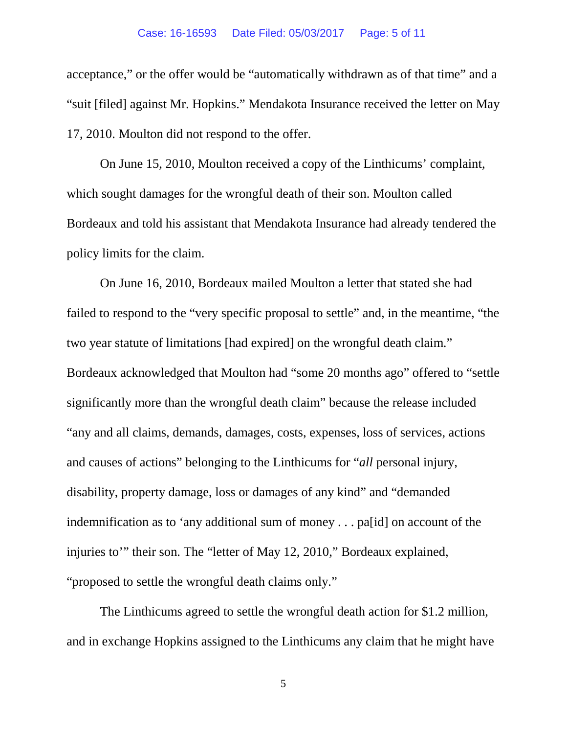acceptance," or the offer would be "automatically withdrawn as of that time" and a "suit [filed] against Mr. Hopkins." Mendakota Insurance received the letter on May 17, 2010. Moulton did not respond to the offer.

On June 15, 2010, Moulton received a copy of the Linthicums' complaint, which sought damages for the wrongful death of their son. Moulton called Bordeaux and told his assistant that Mendakota Insurance had already tendered the policy limits for the claim.

On June 16, 2010, Bordeaux mailed Moulton a letter that stated she had failed to respond to the "very specific proposal to settle" and, in the meantime, "the two year statute of limitations [had expired] on the wrongful death claim." Bordeaux acknowledged that Moulton had "some 20 months ago" offered to "settle significantly more than the wrongful death claim" because the release included "any and all claims, demands, damages, costs, expenses, loss of services, actions and causes of actions" belonging to the Linthicums for "*all* personal injury, disability, property damage, loss or damages of any kind" and "demanded indemnification as to 'any additional sum of money . . . pa[id] on account of the injuries to'" their son. The "letter of May 12, 2010," Bordeaux explained, "proposed to settle the wrongful death claims only."

The Linthicums agreed to settle the wrongful death action for \$1.2 million, and in exchange Hopkins assigned to the Linthicums any claim that he might have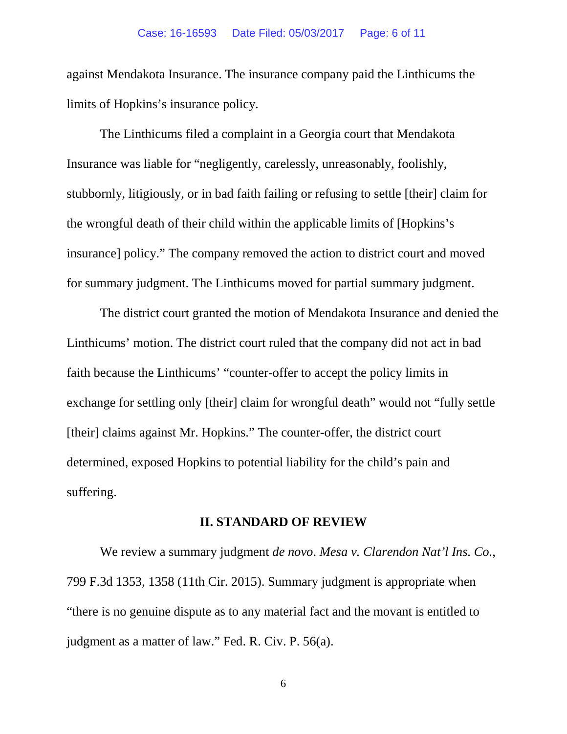against Mendakota Insurance. The insurance company paid the Linthicums the limits of Hopkins's insurance policy.

The Linthicums filed a complaint in a Georgia court that Mendakota Insurance was liable for "negligently, carelessly, unreasonably, foolishly, stubbornly, litigiously, or in bad faith failing or refusing to settle [their] claim for the wrongful death of their child within the applicable limits of [Hopkins's insurance] policy." The company removed the action to district court and moved for summary judgment. The Linthicums moved for partial summary judgment.

The district court granted the motion of Mendakota Insurance and denied the Linthicums' motion. The district court ruled that the company did not act in bad faith because the Linthicums' "counter-offer to accept the policy limits in exchange for settling only [their] claim for wrongful death" would not "fully settle [their] claims against Mr. Hopkins." The counter-offer, the district court determined, exposed Hopkins to potential liability for the child's pain and suffering.

#### **II. STANDARD OF REVIEW**

We review a summary judgment *de novo*. *Mesa v. Clarendon Nat'l Ins. Co.*, 799 F.3d 1353, 1358 (11th Cir. 2015). Summary judgment is appropriate when "there is no genuine dispute as to any material fact and the movant is entitled to judgment as a matter of law." Fed. R. Civ. P. 56(a).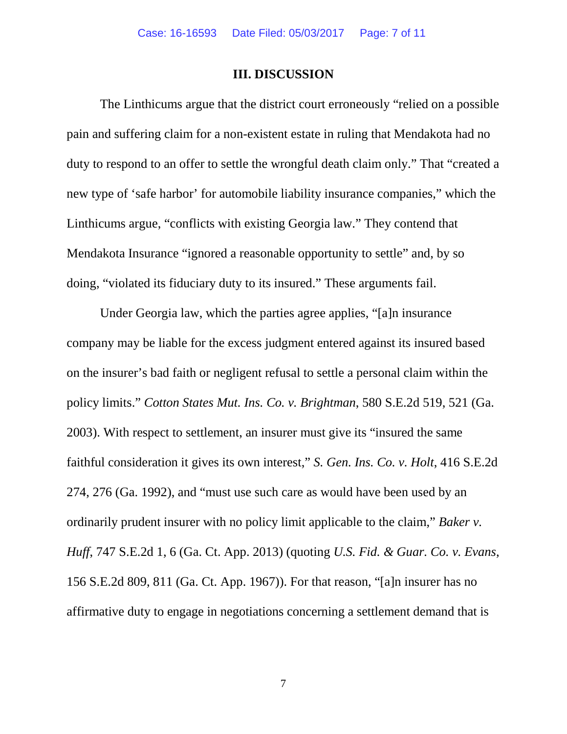#### **III. DISCUSSION**

The Linthicums argue that the district court erroneously "relied on a possible pain and suffering claim for a non-existent estate in ruling that Mendakota had no duty to respond to an offer to settle the wrongful death claim only." That "created a new type of 'safe harbor' for automobile liability insurance companies," which the Linthicums argue, "conflicts with existing Georgia law." They contend that Mendakota Insurance "ignored a reasonable opportunity to settle" and, by so doing, "violated its fiduciary duty to its insured." These arguments fail.

Under Georgia law, which the parties agree applies, "[a]n insurance company may be liable for the excess judgment entered against its insured based on the insurer's bad faith or negligent refusal to settle a personal claim within the policy limits." *Cotton States Mut. Ins. Co. v. Brightman*, 580 S.E.2d 519, 521 (Ga. 2003). With respect to settlement, an insurer must give its "insured the same faithful consideration it gives its own interest," *S. Gen. Ins. Co. v. Holt*, 416 S.E.2d 274, 276 (Ga. 1992), and "must use such care as would have been used by an ordinarily prudent insurer with no policy limit applicable to the claim," *Baker v. Huff*, 747 S.E.2d 1, 6 (Ga. Ct. App. 2013) (quoting *U.S. Fid. & Guar. Co. v. Evans*, 156 S.E.2d 809, 811 (Ga. Ct. App. 1967)). For that reason, "[a]n insurer has no affirmative duty to engage in negotiations concerning a settlement demand that is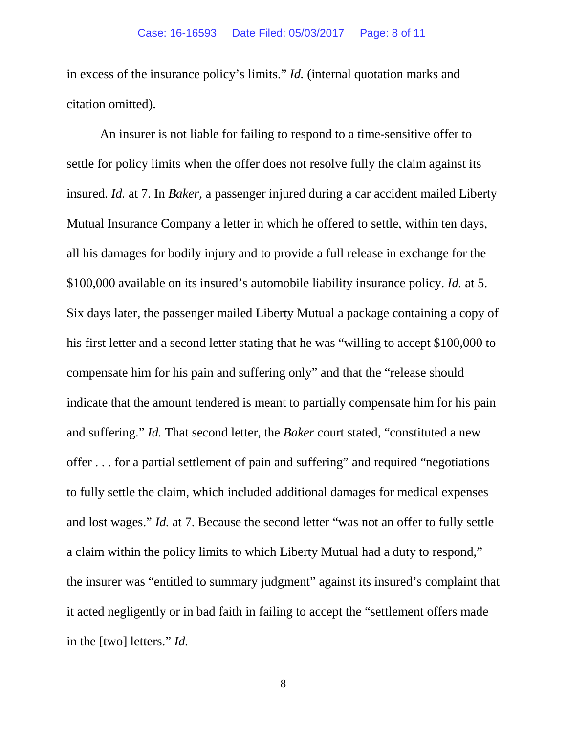in excess of the insurance policy's limits." *Id.* (internal quotation marks and citation omitted).

An insurer is not liable for failing to respond to a time-sensitive offer to settle for policy limits when the offer does not resolve fully the claim against its insured. *Id.* at 7. In *Baker*, a passenger injured during a car accident mailed Liberty Mutual Insurance Company a letter in which he offered to settle, within ten days, all his damages for bodily injury and to provide a full release in exchange for the \$100,000 available on its insured's automobile liability insurance policy. *Id.* at 5. Six days later, the passenger mailed Liberty Mutual a package containing a copy of his first letter and a second letter stating that he was "willing to accept \$100,000 to compensate him for his pain and suffering only" and that the "release should indicate that the amount tendered is meant to partially compensate him for his pain and suffering." *Id.* That second letter, the *Baker* court stated, "constituted a new offer . . . for a partial settlement of pain and suffering" and required "negotiations to fully settle the claim, which included additional damages for medical expenses and lost wages." *Id.* at 7. Because the second letter "was not an offer to fully settle a claim within the policy limits to which Liberty Mutual had a duty to respond," the insurer was "entitled to summary judgment" against its insured's complaint that it acted negligently or in bad faith in failing to accept the "settlement offers made in the [two] letters." *Id.*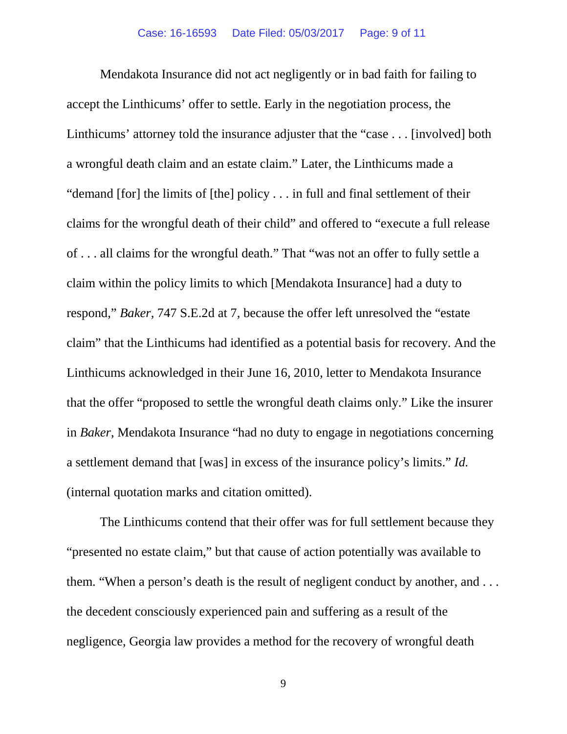Mendakota Insurance did not act negligently or in bad faith for failing to accept the Linthicums' offer to settle. Early in the negotiation process, the Linthicums' attorney told the insurance adjuster that the "case . . . [involved] both a wrongful death claim and an estate claim." Later, the Linthicums made a "demand [for] the limits of [the] policy . . . in full and final settlement of their claims for the wrongful death of their child" and offered to "execute a full release of . . . all claims for the wrongful death." That "was not an offer to fully settle a claim within the policy limits to which [Mendakota Insurance] had a duty to respond," *Baker*, 747 S.E.2d at 7, because the offer left unresolved the "estate claim" that the Linthicums had identified as a potential basis for recovery. And the Linthicums acknowledged in their June 16, 2010, letter to Mendakota Insurance that the offer "proposed to settle the wrongful death claims only." Like the insurer in *Baker*, Mendakota Insurance "had no duty to engage in negotiations concerning a settlement demand that [was] in excess of the insurance policy's limits." *Id.* (internal quotation marks and citation omitted).

The Linthicums contend that their offer was for full settlement because they "presented no estate claim," but that cause of action potentially was available to them. "When a person's death is the result of negligent conduct by another, and . . . the decedent consciously experienced pain and suffering as a result of the negligence, Georgia law provides a method for the recovery of wrongful death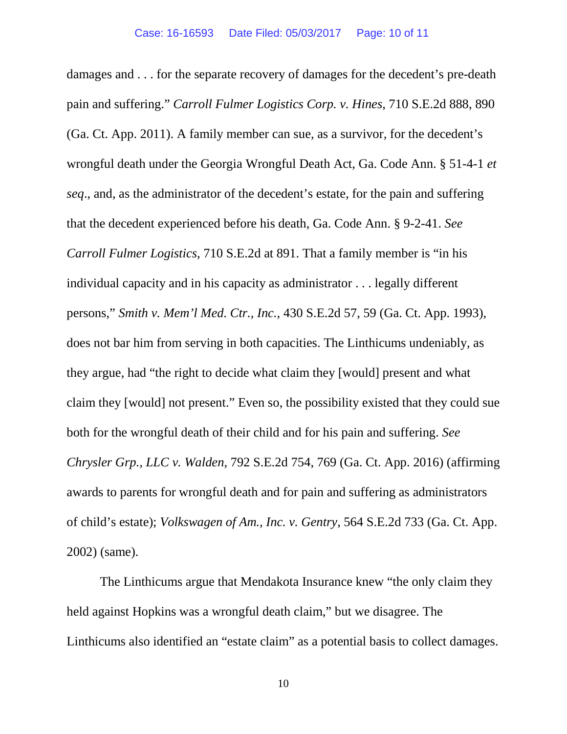damages and . . . for the separate recovery of damages for the decedent's pre-death pain and suffering." *Carroll Fulmer Logistics Corp. v. Hines*, 710 S.E.2d 888, 890 (Ga. Ct. App. 2011). A family member can sue, as a survivor, for the decedent's wrongful death under the Georgia Wrongful Death Act, Ga. Code Ann. § 51-4-1 *et seq*., and, as the administrator of the decedent's estate, for the pain and suffering that the decedent experienced before his death, Ga. Code Ann. § 9-2-41. *See Carroll Fulmer Logistics*, 710 S.E.2d at 891. That a family member is "in his individual capacity and in his capacity as administrator . . . legally different persons," *Smith v. Mem'l Med. Ctr., Inc.*, 430 S.E.2d 57, 59 (Ga. Ct. App. 1993), does not bar him from serving in both capacities. The Linthicums undeniably, as they argue, had "the right to decide what claim they [would] present and what claim they [would] not present." Even so, the possibility existed that they could sue both for the wrongful death of their child and for his pain and suffering. *See Chrysler Grp., LLC v. Walden*, 792 S.E.2d 754, 769 (Ga. Ct. App. 2016) (affirming awards to parents for wrongful death and for pain and suffering as administrators of child's estate); *Volkswagen of Am., Inc. v. Gentry*, 564 S.E.2d 733 (Ga. Ct. App. 2002) (same).

The Linthicums argue that Mendakota Insurance knew "the only claim they held against Hopkins was a wrongful death claim," but we disagree. The Linthicums also identified an "estate claim" as a potential basis to collect damages.